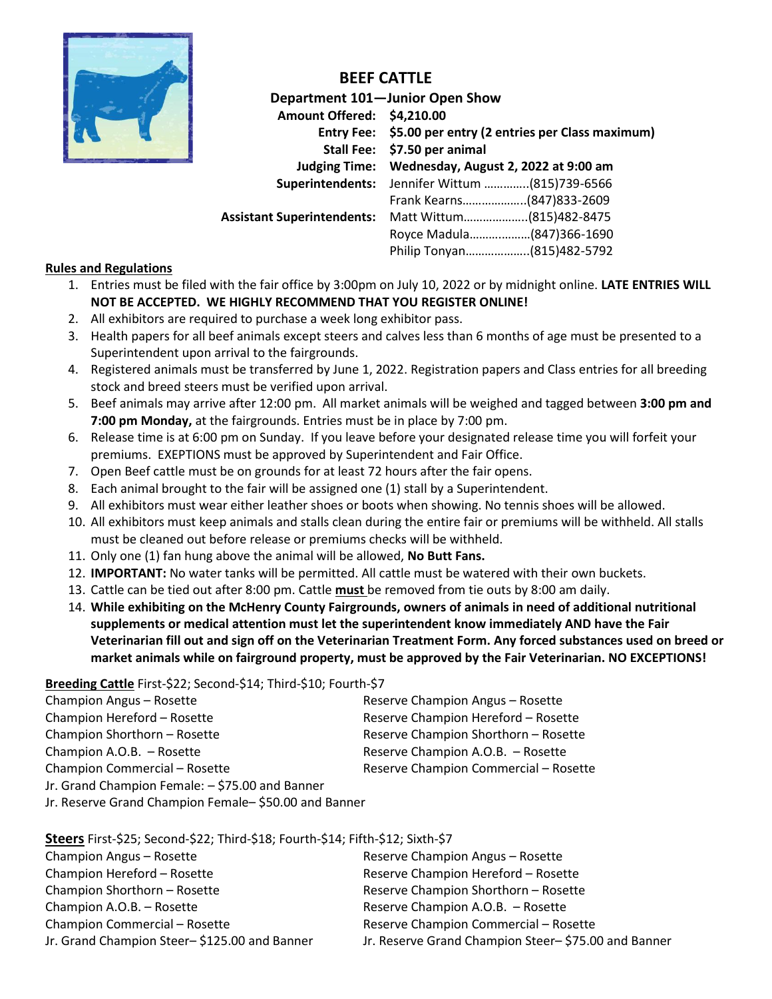

# **BEEF CATTLE**

**Department 101—Junior Open Show Amount Offered: \$4,210.00 Entry Fee: \$5.00 per entry (2 entries per Class maximum) Stall Fee: \$7.50 per animal Judging Time: Wednesday, August 2, 2022 at 9:00 am Superintendents:** Jennifer Wittum …………..(815)739-6566 Frank Kearns………………..(847)833-2609 **Assistant Superintendents:** Matt Wittum………………..(815)482-8475 Royce Madula……….………(847)366-1690 Philip Tonyan………………..(815)482-5792

#### **Rules and Regulations**

- 1. Entries must be filed with the fair office by 3:00pm on July 10, 2022 or by midnight online. **LATE ENTRIES WILL NOT BE ACCEPTED. WE HIGHLY RECOMMEND THAT YOU REGISTER ONLINE!**
- 2. All exhibitors are required to purchase a week long exhibitor pass.
- 3. Health papers for all beef animals except steers and calves less than 6 months of age must be presented to a Superintendent upon arrival to the fairgrounds.
- 4. Registered animals must be transferred by June 1, 2022. Registration papers and Class entries for all breeding stock and breed steers must be verified upon arrival.
- 5. Beef animals may arrive after 12:00 pm. All market animals will be weighed and tagged between **3:00 pm and 7:00 pm Monday,** at the fairgrounds. Entries must be in place by 7:00 pm.
- 6. Release time is at 6:00 pm on Sunday. If you leave before your designated release time you will forfeit your premiums. EXEPTIONS must be approved by Superintendent and Fair Office.
- 7. Open Beef cattle must be on grounds for at least 72 hours after the fair opens.
- 8. Each animal brought to the fair will be assigned one (1) stall by a Superintendent.
- 9. All exhibitors must wear either leather shoes or boots when showing. No tennis shoes will be allowed.
- 10. All exhibitors must keep animals and stalls clean during the entire fair or premiums will be withheld. All stalls must be cleaned out before release or premiums checks will be withheld.
- 11. Only one (1) fan hung above the animal will be allowed, **No Butt Fans.**
- 12. **IMPORTANT:** No water tanks will be permitted. All cattle must be watered with their own buckets.
- 13. Cattle can be tied out after 8:00 pm. Cattle **must** be removed from tie outs by 8:00 am daily.
- 14. **While exhibiting on the McHenry County Fairgrounds, owners of animals in need of additional nutritional supplements or medical attention must let the superintendent know immediately AND have the Fair Veterinarian fill out and sign off on the Veterinarian Treatment Form. Any forced substances used on breed or market animals while on fairground property, must be approved by the Fair Veterinarian. NO EXCEPTIONS!**

## **Breeding Cattle** First-\$22; Second-\$14; Third-\$10; Fourth-\$7

| Champion Angus - Rosette                        | Reserve Champion Angus - Rosette      |
|-------------------------------------------------|---------------------------------------|
| Champion Hereford - Rosette                     | Reserve Champion Hereford - Rosette   |
| Champion Shorthorn - Rosette                    | Reserve Champion Shorthorn - Rosette  |
| Champion A.O.B. - Rosette                       | Reserve Champion A.O.B. - Rosette     |
| Champion Commercial - Rosette                   | Reserve Champion Commercial - Rosette |
| Jr. Grand Champion Female: - \$75.00 and Banner |                                       |
|                                                 |                                       |

Jr. Reserve Grand Champion Female– \$50.00 and Banner

## **Steers** First-\$25; Second-\$22; Third-\$18; Fourth-\$14; Fifth-\$12; Sixth-\$7

| Champion Angus - Rosette                     | Reserve Champion Angus - Rosette                    |
|----------------------------------------------|-----------------------------------------------------|
| Champion Hereford - Rosette                  | Reserve Champion Hereford - Rosette                 |
| Champion Shorthorn - Rosette                 | Reserve Champion Shorthorn - Rosette                |
| Champion A.O.B. - Rosette                    | Reserve Champion A.O.B. - Rosette                   |
| Champion Commercial - Rosette                | Reserve Champion Commercial - Rosette               |
| Jr. Grand Champion Steer-\$125.00 and Banner | Jr. Reserve Grand Champion Steer-\$75.00 and Banner |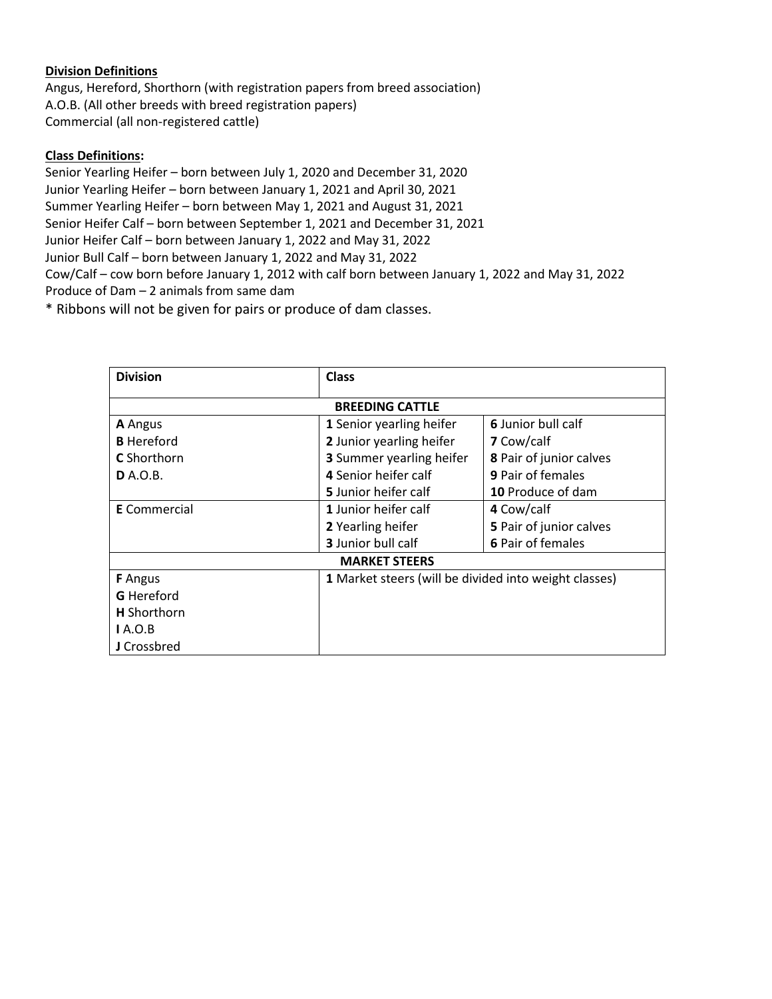#### **Division Definitions**

Angus, Hereford, Shorthorn (with registration papers from breed association) A.O.B. (All other breeds with breed registration papers) Commercial (all non-registered cattle)

#### **Class Definitions:**

Senior Yearling Heifer – born between July 1, 2020 and December 31, 2020 Junior Yearling Heifer – born between January 1, 2021 and April 30, 2021 Summer Yearling Heifer – born between May 1, 2021 and August 31, 2021 Senior Heifer Calf – born between September 1, 2021 and December 31, 2021 Junior Heifer Calf – born between January 1, 2022 and May 31, 2022 Junior Bull Calf – born between January 1, 2022 and May 31, 2022 Cow/Calf – cow born before January 1, 2012 with calf born between January 1, 2022 and May 31, 2022 Produce of Dam – 2 animals from same dam

\* Ribbons will not be given for pairs or produce of dam classes.

| <b>Division</b>        | <b>Class</b>                                               |                          |  |  |
|------------------------|------------------------------------------------------------|--------------------------|--|--|
| <b>BREEDING CATTLE</b> |                                                            |                          |  |  |
| <b>A</b> Angus         | 1 Senior yearling heifer                                   | 6 Junior bull calf       |  |  |
| <b>B</b> Hereford      | 2 Junior yearling heifer                                   | 7 Cow/calf               |  |  |
| <b>C</b> Shorthorn     | 8 Pair of junior calves<br><b>3</b> Summer yearling heifer |                          |  |  |
| <b>D</b> A.O.B.        | 4 Senior heifer calf                                       | <b>9 Pair of females</b> |  |  |
|                        | 5 Junior heifer calf                                       | 10 Produce of dam        |  |  |
| <b>E</b> Commercial    | 1 Junior heifer calf                                       | 4 Cow/calf               |  |  |
|                        | 2 Yearling heifer                                          | 5 Pair of junior calves  |  |  |
|                        | 3 Junior bull calf                                         | 6 Pair of females        |  |  |
| <b>MARKET STEERS</b>   |                                                            |                          |  |  |
| <b>F</b> Angus         | 1 Market steers (will be divided into weight classes)      |                          |  |  |
| <b>G</b> Hereford      |                                                            |                          |  |  |
| <b>H</b> Shorthorn     |                                                            |                          |  |  |
| IA.O.B                 |                                                            |                          |  |  |
| J Crossbred            |                                                            |                          |  |  |